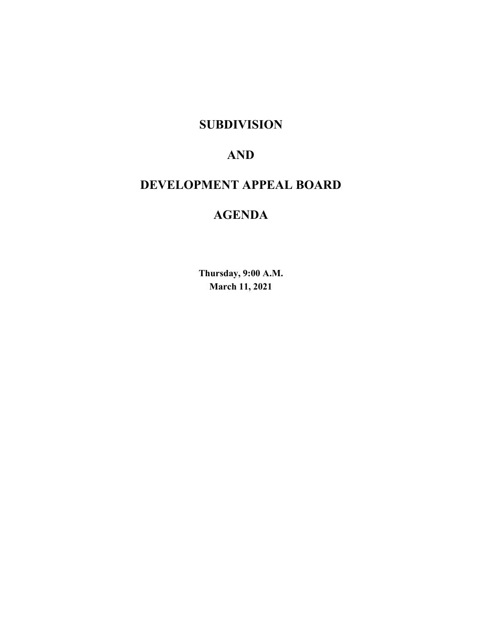# **SUBDIVISION**

# **AND**

# **DEVELOPMENT APPEAL BOARD**

# **AGENDA**

**Thursday, 9:00 A.M. March 11, 2021**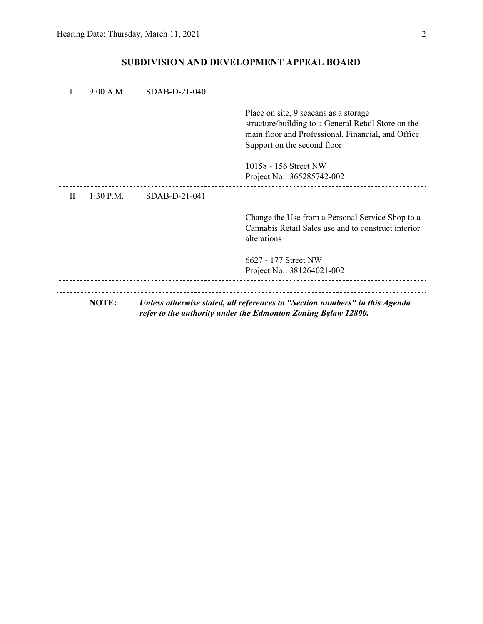| $\mathbf{I}$ | $9:00$ A.M. | $SDAB-D-21-040$ |                                                                                                                                                                                   |
|--------------|-------------|-----------------|-----------------------------------------------------------------------------------------------------------------------------------------------------------------------------------|
|              |             |                 | Place on site, 9 seacans as a storage<br>structure/building to a General Retail Store on the<br>main floor and Professional, Financial, and Office<br>Support on the second floor |
|              |             |                 | 10158 - 156 Street NW<br>Project No.: 365285742-002                                                                                                                               |
| H            | $1:30$ P.M. | $SDAB-D-21-041$ |                                                                                                                                                                                   |
|              |             |                 | Change the Use from a Personal Service Shop to a<br>Cannabis Retail Sales use and to construct interior<br>alterations                                                            |
|              |             |                 | 6627 - 177 Street NW<br>Project No.: 381264021-002                                                                                                                                |
|              |             |                 |                                                                                                                                                                                   |
|              | NOTE:       |                 | Unless otherwise stated, all references to "Section numbers" in this Agenda<br>refer to the authority under the Edmonton Zoning Bylaw 12800.                                      |

# **SUBDIVISION AND DEVELOPMENT APPEAL BOARD**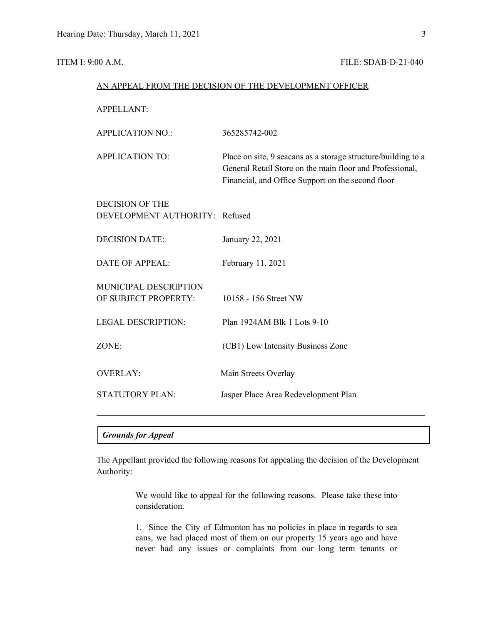# **ITEM I: 9:00 A.M. FILE: SDAB-D-21-040**

|                                                          | AN APPEAL FROM THE DECISION OF THE DEVELOPMENT OFFICER                                                                                                                         |
|----------------------------------------------------------|--------------------------------------------------------------------------------------------------------------------------------------------------------------------------------|
| <b>APPELLANT:</b>                                        |                                                                                                                                                                                |
| <b>APPLICATION NO.:</b>                                  | 365285742-002                                                                                                                                                                  |
| <b>APPLICATION TO:</b>                                   | Place on site, 9 seacans as a storage structure/building to a<br>General Retail Store on the main floor and Professional,<br>Financial, and Office Support on the second floor |
| <b>DECISION OF THE</b><br>DEVELOPMENT AUTHORITY: Refused |                                                                                                                                                                                |
| <b>DECISION DATE:</b>                                    | January 22, 2021                                                                                                                                                               |
| <b>DATE OF APPEAL:</b>                                   | February 11, 2021                                                                                                                                                              |
| MUNICIPAL DESCRIPTION<br>OF SUBJECT PROPERTY:            | 10158 - 156 Street NW                                                                                                                                                          |
| <b>LEGAL DESCRIPTION:</b>                                | Plan 1924AM Blk 1 Lots 9-10                                                                                                                                                    |
| ZONE:                                                    | (CB1) Low Intensity Business Zone                                                                                                                                              |
| <b>OVERLAY:</b>                                          | Main Streets Overlay                                                                                                                                                           |
| <b>STATUTORY PLAN:</b>                                   | Jasper Place Area Redevelopment Plan                                                                                                                                           |
|                                                          |                                                                                                                                                                                |

# *Grounds for Appeal*

The Appellant provided the following reasons for appealing the decision of the Development Authority:

> We would like to appeal for the following reasons. Please take these into consideration.

> 1. Since the City of Edmonton has no policies in place in regards to sea cans, we had placed most of them on our property 15 years ago and have never had any issues or complaints from our long term tenants or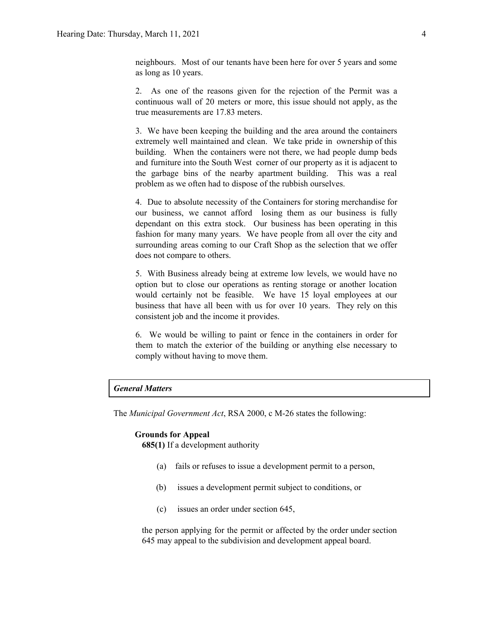neighbours. Most of our tenants have been here for over 5 years and some as long as 10 years.

2. As one of the reasons given for the rejection of the Permit was a continuous wall of 20 meters or more, this issue should not apply, as the true measurements are 17.83 meters.

3. We have been keeping the building and the area around the containers extremely well maintained and clean. We take pride in ownership of this building. When the containers were not there, we had people dump beds and furniture into the South West corner of our property as it is adjacent to the garbage bins of the nearby apartment building. This was a real problem as we often had to dispose of the rubbish ourselves.

4. Due to absolute necessity of the Containers for storing merchandise for our business, we cannot afford losing them as our business is fully dependant on this extra stock. Our business has been operating in this fashion for many many years. We have people from all over the city and surrounding areas coming to our Craft Shop as the selection that we offer does not compare to others.

5. With Business already being at extreme low levels, we would have no option but to close our operations as renting storage or another location would certainly not be feasible. We have 15 loyal employees at our business that have all been with us for over 10 years. They rely on this consistent job and the income it provides.

6. We would be willing to paint or fence in the containers in order for them to match the exterior of the building or anything else necessary to comply without having to move them.

# *General Matters*

The *Municipal Government Act*, RSA 2000, c M-26 states the following:

### **Grounds for Appeal**

**685(1)** If a development authority

- (a) fails or refuses to issue a development permit to a person,
- (b) issues a development permit subject to conditions, or
- (c) issues an order under section 645,

the person applying for the permit or affected by the order under section 645 may appeal to the subdivision and development appeal board.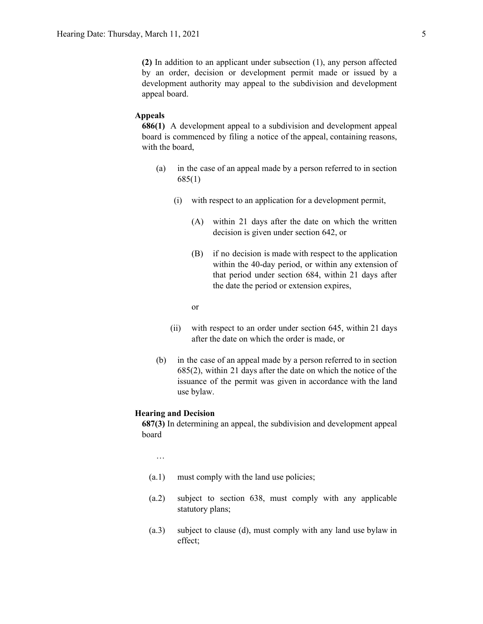**(2)** In addition to an applicant under subsection (1), any person affected by an order, decision or development permit made or issued by a development authority may appeal to the subdivision and development appeal board.

# **Appeals**

**686(1)** A development appeal to a subdivision and development appeal board is commenced by filing a notice of the appeal, containing reasons, with the board,

- (a) in the case of an appeal made by a person referred to in section 685(1)
	- (i) with respect to an application for a development permit,
		- (A) within 21 days after the date on which the written decision is given under section 642, or
		- (B) if no decision is made with respect to the application within the 40-day period, or within any extension of that period under section 684, within 21 days after the date the period or extension expires,

or

- (ii) with respect to an order under section 645, within 21 days after the date on which the order is made, or
- (b) in the case of an appeal made by a person referred to in section 685(2), within 21 days after the date on which the notice of the issuance of the permit was given in accordance with the land use bylaw.

# **Hearing and Decision**

**687(3)** In determining an appeal, the subdivision and development appeal board

…

- (a.1) must comply with the land use policies;
- (a.2) subject to section 638, must comply with any applicable statutory plans;
- (a.3) subject to clause (d), must comply with any land use bylaw in effect;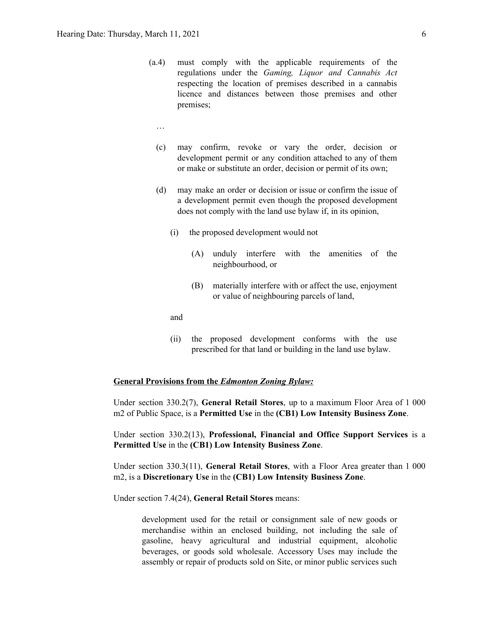- (a.4) must comply with the applicable requirements of the regulations under the *Gaming, Liquor and Cannabis Act* respecting the location of premises described in a cannabis licence and distances between those premises and other premises;
	- …
	- (c) may confirm, revoke or vary the order, decision or development permit or any condition attached to any of them or make or substitute an order, decision or permit of its own;
	- (d) may make an order or decision or issue or confirm the issue of a development permit even though the proposed development does not comply with the land use bylaw if, in its opinion,
		- (i) the proposed development would not
			- (A) unduly interfere with the amenities of the neighbourhood, or
			- (B) materially interfere with or affect the use, enjoyment or value of neighbouring parcels of land,

and

(ii) the proposed development conforms with the use prescribed for that land or building in the land use bylaw.

# **General Provisions from the** *Edmonton Zoning Bylaw:*

Under section 330.2(7), **General Retail Stores**, up to a maximum Floor Area of 1 000 m2 of Public Space, is a **Permitted Use** in the **(CB1) Low Intensity Business Zone**.

Under section 330.2(13), **Professional, Financial and Office Support Services** is a **Permitted Use** in the **(CB1) Low Intensity Business Zone**.

Under section 330.3(11), **General Retail Stores**, with a Floor Area greater than 1 000 m2, is a **Discretionary Use** in the **(CB1) Low Intensity Business Zone**.

Under section 7.4(24), **General Retail Stores** means:

development used for the retail or consignment sale of new goods or merchandise within an enclosed building, not including the sale of gasoline, heavy agricultural and industrial equipment, alcoholic beverages, or goods sold wholesale. Accessory Uses may include the assembly or repair of products sold on Site, or minor public services such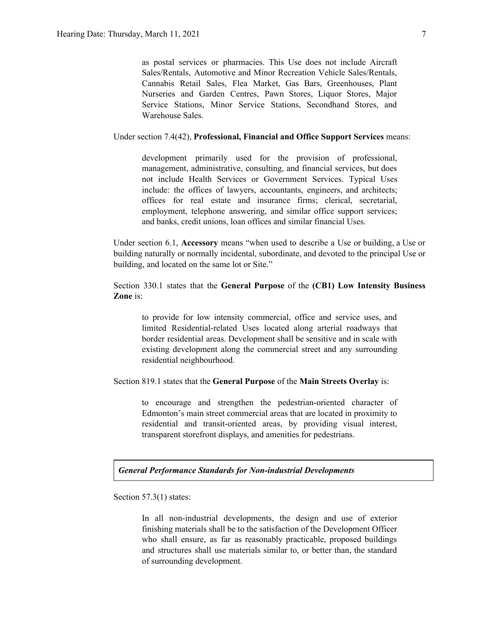as postal services or pharmacies. This Use does not include Aircraft Sales/Rentals, Automotive and Minor Recreation Vehicle Sales/Rentals, Cannabis Retail Sales, Flea Market, Gas Bars, Greenhouses, Plant Nurseries and Garden Centres, Pawn Stores, Liquor Stores, Major Service Stations, Minor Service Stations, Secondhand Stores, and Warehouse Sales.

Under section 7.4(42), **Professional, Financial and Office Support Services** means:

development primarily used for the provision of professional, management, administrative, consulting, and financial services, but does not include Health Services or Government Services. Typical Uses include: the offices of lawyers, accountants, engineers, and architects; offices for real estate and insurance firms; clerical, secretarial, employment, telephone answering, and similar office support services; and banks, credit unions, loan offices and similar financial Uses.

Under section 6.1, **Accessory** means "when used to describe a Use or building, a Use or building naturally or normally incidental, subordinate, and devoted to the principal Use or building, and located on the same lot or Site."

Section 330.1 states that the **General Purpose** of the **(CB1) Low Intensity Business Zone** is:

to provide for low intensity commercial, office and service uses, and limited Residential-related Uses located along arterial roadways that border residential areas. Development shall be sensitive and in scale with existing development along the commercial street and any surrounding residential neighbourhood.

Section 819.1 states that the **General Purpose** of the **Main Streets Overlay** is:

to encourage and strengthen the pedestrian-oriented character of Edmonton's main street commercial areas that are located in proximity to residential and transit-oriented areas, by providing visual interest, transparent storefront displays, and amenities for pedestrians.

*General Performance Standards for Non-industrial Developments*

Section 57.3(1) states:

In all non-industrial developments, the design and use of exterior finishing materials shall be to the satisfaction of the Development Officer who shall ensure, as far as reasonably practicable, proposed buildings and structures shall use materials similar to, or better than, the standard of surrounding development.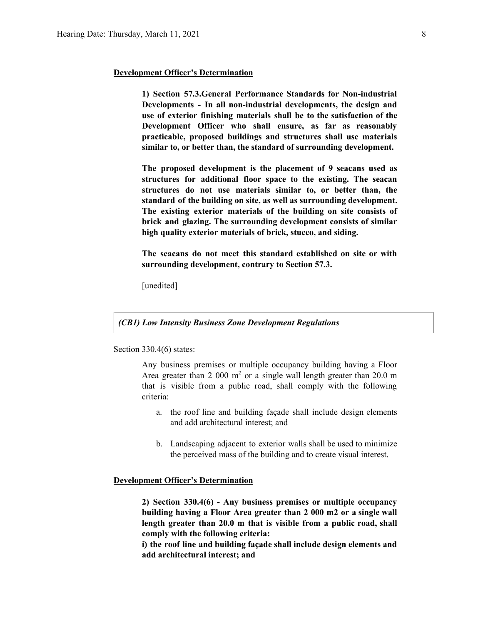## **Development Officer's Determination**

**1) Section 57.3.General Performance Standards for Non-industrial Developments - In all non-industrial developments, the design and use of exterior finishing materials shall be to the satisfaction of the Development Officer who shall ensure, as far as reasonably practicable, proposed buildings and structures shall use materials similar to, or better than, the standard of surrounding development.**

**The proposed development is the placement of 9 seacans used as structures for additional floor space to the existing. The seacan structures do not use materials similar to, or better than, the standard of the building on site, as well as surrounding development. The existing exterior materials of the building on site consists of brick and glazing. The surrounding development consists of similar high quality exterior materials of brick, stucco, and siding.**

**The seacans do not meet this standard established on site or with surrounding development, contrary to Section 57.3.**

[unedited]

# *(CB1) Low Intensity Business Zone Development Regulations*

Section 330.4(6) states:

Any business premises or multiple occupancy building having a Floor Area greater than 2 000  $m<sup>2</sup>$  or a single wall length greater than 20.0 m that is visible from a public road, shall comply with the following criteria:

- a. the roof line and building façade shall include design elements and add architectural interest; and
- b. Landscaping adjacent to exterior walls shall be used to minimize the perceived mass of the building and to create visual interest.

# **Development Officer's Determination**

**2) Section 330.4(6) - Any business premises or multiple occupancy building having a Floor Area greater than 2 000 m2 or a single wall length greater than 20.0 m that is visible from a public road, shall comply with the following criteria:**

**i) the roof line and building façade shall include design elements and add architectural interest; and**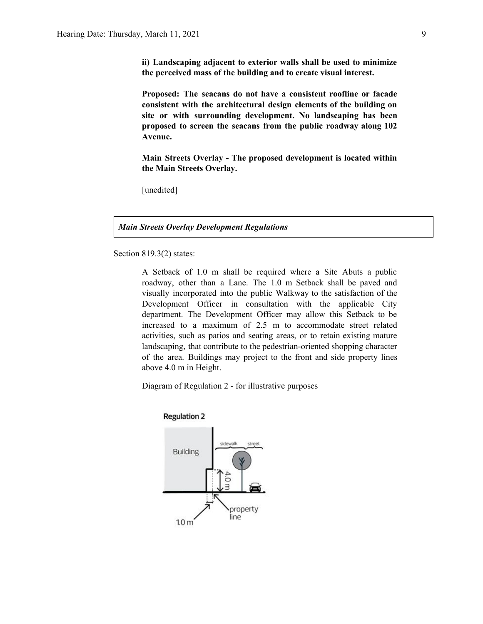**ii) Landscaping adjacent to exterior walls shall be used to minimize the perceived mass of the building and to create visual interest.**

**Proposed: The seacans do not have a consistent roofline or facade consistent with the architectural design elements of the building on site or with surrounding development. No landscaping has been proposed to screen the seacans from the public roadway along 102 Avenue.**

**Main Streets Overlay - The proposed development is located within the Main Streets Overlay.**

[unedited]

*Main Streets Overlay Development Regulations*

Section 819.3(2) states:

A Setback of 1.0 m shall be required where a Site Abuts a public roadway, other than a Lane. The 1.0 m Setback shall be paved and visually incorporated into the public Walkway to the satisfaction of the Development Officer in consultation with the applicable City department. The Development Officer may allow this Setback to be increased to a maximum of 2.5 m to accommodate street related activities, such as patios and seating areas, or to retain existing mature landscaping, that contribute to the pedestrian-oriented shopping character of the area. Buildings may project to the front and side property lines above 4.0 m in Height.

Diagram of Regulation 2 - for illustrative purposes



**Regulation 2**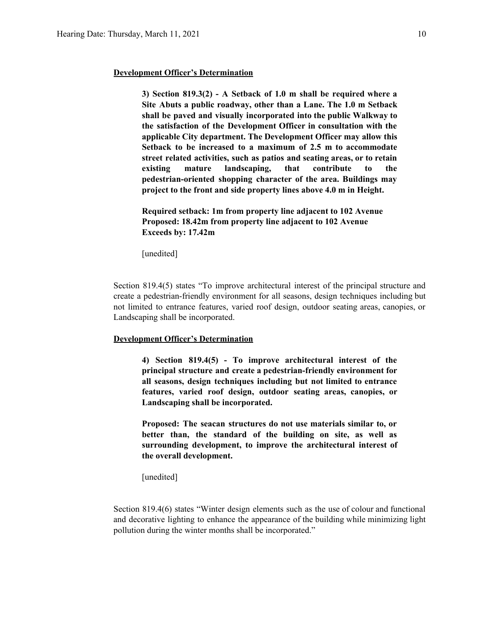## **Development Officer's Determination**

**3) Section 819.3(2) - A Setback of 1.0 m shall be required where a Site Abuts a public roadway, other than a Lane. The 1.0 m Setback shall be paved and visually incorporated into the public Walkway to the satisfaction of the Development Officer in consultation with the applicable City department. The Development Officer may allow this Setback to be increased to a maximum of 2.5 m to accommodate street related activities, such as patios and seating areas, or to retain existing mature landscaping, that contribute to the pedestrian-oriented shopping character of the area. Buildings may project to the front and side property lines above 4.0 m in Height.**

**Required setback: 1m from property line adjacent to 102 Avenue Proposed: 18.42m from property line adjacent to 102 Avenue Exceeds by: 17.42m**

[unedited]

Section 819.4(5) states "To improve architectural interest of the principal structure and create a pedestrian-friendly environment for all seasons, design techniques including but not limited to entrance features, varied roof design, outdoor seating areas, canopies, or Landscaping shall be incorporated.

## **Development Officer's Determination**

**4) Section 819.4(5) - To improve architectural interest of the principal structure and create a pedestrian-friendly environment for all seasons, design techniques including but not limited to entrance features, varied roof design, outdoor seating areas, canopies, or Landscaping shall be incorporated.**

**Proposed: The seacan structures do not use materials similar to, or better than, the standard of the building on site, as well as surrounding development, to improve the architectural interest of the overall development.**

[unedited]

Section 819.4(6) states "Winter design elements such as the use of colour and functional and decorative lighting to enhance the appearance of the building while minimizing light pollution during the winter months shall be incorporated."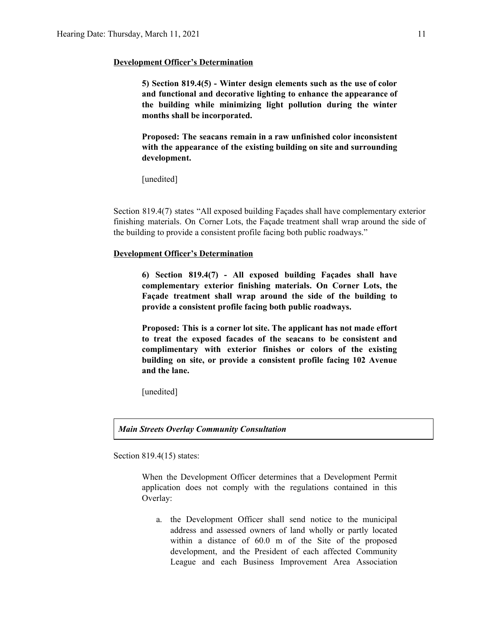## **Development Officer's Determination**

**5) Section 819.4(5) - Winter design elements such as the use of color and functional and decorative lighting to enhance the appearance of the building while minimizing light pollution during the winter months shall be incorporated.**

**Proposed: The seacans remain in a raw unfinished color inconsistent with the appearance of the existing building on site and surrounding development.**

[unedited]

Section 819.4(7) states "All exposed building Façades shall have complementary exterior finishing materials. On Corner Lots, the Façade treatment shall wrap around the side of the building to provide a consistent profile facing both public roadways."

# **Development Officer's Determination**

**6) Section 819.4(7) - All exposed building Façades shall have complementary exterior finishing materials. On Corner Lots, the Façade treatment shall wrap around the side of the building to provide a consistent profile facing both public roadways.**

**Proposed: This is a corner lot site. The applicant has not made effort to treat the exposed facades of the seacans to be consistent and complimentary with exterior finishes or colors of the existing building on site, or provide a consistent profile facing 102 Avenue and the lane.**

[unedited]

*Main Streets Overlay Community Consultation*

Section 819.4(15) states:

When the Development Officer determines that a Development Permit application does not comply with the regulations contained in this Overlay:

a. the Development Officer shall send notice to the municipal address and assessed owners of land wholly or partly located within a distance of 60.0 m of the Site of the proposed development, and the President of each affected Community League and each Business Improvement Area Association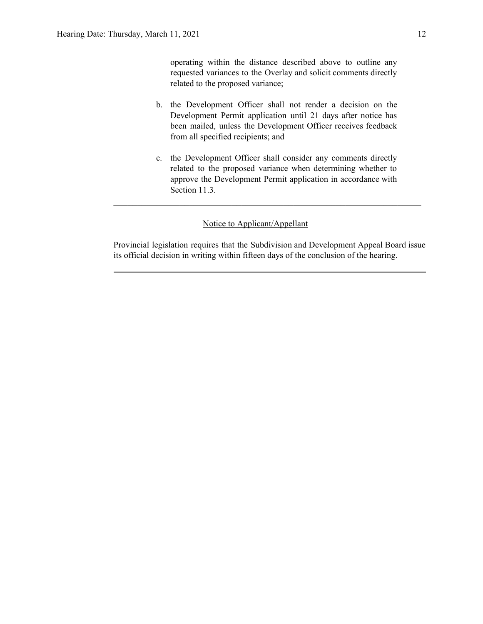operating within the distance described above to outline any requested variances to the Overlay and solicit comments directly related to the proposed variance;

- b. the Development Officer shall not render a decision on the Development Permit application until 21 days after notice has been mailed, unless the Development Officer receives feedback from all specified recipients; and
- c. the Development Officer shall consider any comments directly related to the proposed variance when determining whether to approve the Development Permit application in accordance with Section 11.3.

# Notice to Applicant/Appellant

Provincial legislation requires that the Subdivision and Development Appeal Board issue its official decision in writing within fifteen days of the conclusion of the hearing.

 $\mathcal{L}_\text{max}$  , and the contribution of the contribution of the contribution of the contribution of the contribution of the contribution of the contribution of the contribution of the contribution of the contribution of t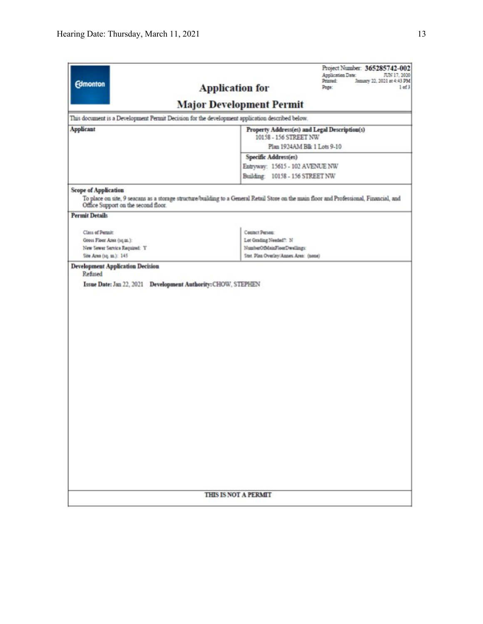| <b>Edmonton</b>                                                                                                                  | Application Date:<br>JUN 17, 2020<br>Printed<br>January 22, 2021 at 4:43 PM<br><b>Application for</b><br>Page:<br>1 of 3                 |  |  |  |  |
|----------------------------------------------------------------------------------------------------------------------------------|------------------------------------------------------------------------------------------------------------------------------------------|--|--|--|--|
|                                                                                                                                  | <b>Major Development Permit</b>                                                                                                          |  |  |  |  |
| This document is a Development Permit Decision for the development application described below.                                  |                                                                                                                                          |  |  |  |  |
| <b>Applicant</b>                                                                                                                 | Property Address(es) and Legal Description(s)                                                                                            |  |  |  |  |
|                                                                                                                                  | 10158 - 156 STREET NW<br>Plan 1924AM Blk 1 Lots 9-10                                                                                     |  |  |  |  |
|                                                                                                                                  | Specific Address(es)                                                                                                                     |  |  |  |  |
|                                                                                                                                  | Entryway: 15615 - 102 AVENUE NW                                                                                                          |  |  |  |  |
|                                                                                                                                  | Building: 10158 - 156 STREET NW                                                                                                          |  |  |  |  |
| <b>Scope of Application</b><br>Office Support on the second floor.<br><b>Permit Details</b>                                      | To place on site, 9 seacans as a storage structure/building to a General Retail Store on the main floor and Professional, Financial, and |  |  |  |  |
|                                                                                                                                  |                                                                                                                                          |  |  |  |  |
| Class of Permitt                                                                                                                 | Contact Person:                                                                                                                          |  |  |  |  |
| Lot Grading Needed?: N<br>Gross Floor Area (1q.m.):                                                                              |                                                                                                                                          |  |  |  |  |
| NumberOfMainFloorDwellings:<br>New Sewer Service Required: Y<br>Site Area (1q. m.): 145<br>Stat. Plan Overlay/Annex Area: (none) |                                                                                                                                          |  |  |  |  |
|                                                                                                                                  |                                                                                                                                          |  |  |  |  |
|                                                                                                                                  |                                                                                                                                          |  |  |  |  |
|                                                                                                                                  |                                                                                                                                          |  |  |  |  |
|                                                                                                                                  |                                                                                                                                          |  |  |  |  |
|                                                                                                                                  |                                                                                                                                          |  |  |  |  |
|                                                                                                                                  |                                                                                                                                          |  |  |  |  |
|                                                                                                                                  |                                                                                                                                          |  |  |  |  |
|                                                                                                                                  |                                                                                                                                          |  |  |  |  |
|                                                                                                                                  |                                                                                                                                          |  |  |  |  |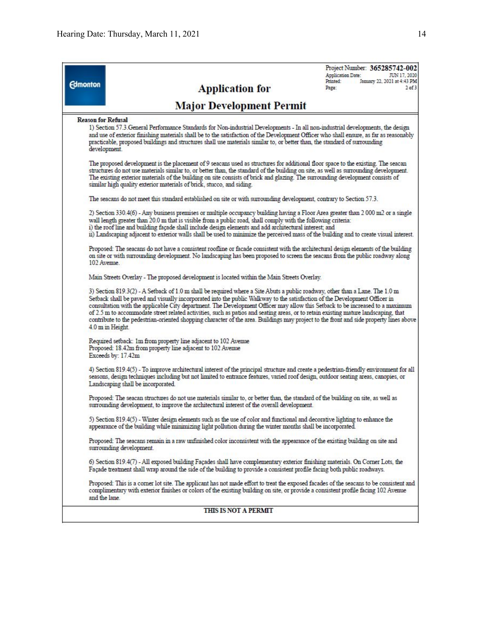|                           |                                                                                                                                                                                                                                                                                                                                                                                                                                                                                                                                                                                                                                                                                                  | Project Number: 365285742-002                                                |
|---------------------------|--------------------------------------------------------------------------------------------------------------------------------------------------------------------------------------------------------------------------------------------------------------------------------------------------------------------------------------------------------------------------------------------------------------------------------------------------------------------------------------------------------------------------------------------------------------------------------------------------------------------------------------------------------------------------------------------------|------------------------------------------------------------------------------|
| <b>Edmonton</b>           |                                                                                                                                                                                                                                                                                                                                                                                                                                                                                                                                                                                                                                                                                                  | Application Date:<br>JUN 17, 2020<br>January 22, 2021 at 4:43 PM<br>Printed: |
|                           | <b>Application for</b>                                                                                                                                                                                                                                                                                                                                                                                                                                                                                                                                                                                                                                                                           | Page:<br>$2$ of $3$                                                          |
|                           | <b>Major Development Permit</b>                                                                                                                                                                                                                                                                                                                                                                                                                                                                                                                                                                                                                                                                  |                                                                              |
| <b>Reason for Refusal</b> |                                                                                                                                                                                                                                                                                                                                                                                                                                                                                                                                                                                                                                                                                                  |                                                                              |
|                           | 1) Section 57.3. General Performance Standards for Non-industrial Developments - In all non-industrial developments, the design<br>and use of exterior finishing materials shall be to the satisfaction of the Development Officer who shall ensure, as far as reasonably<br>practicable, proposed buildings and structures shall use materials similar to, or better than, the standard of surrounding<br>development.                                                                                                                                                                                                                                                                          |                                                                              |
|                           | The proposed development is the placement of 9 seacans used as structures for additional floor space to the existing. The seacan<br>structures do not use materials similar to, or better than, the standard of the building on site, as well as surrounding development.<br>The existing exterior materials of the building on site consists of brick and glazing. The surrounding development consists of<br>similar high quality exterior materials of brick, stucco, and siding.                                                                                                                                                                                                             |                                                                              |
|                           | The seacans do not meet this standard established on site or with surrounding development, contrary to Section 57.3.                                                                                                                                                                                                                                                                                                                                                                                                                                                                                                                                                                             |                                                                              |
|                           | 2) Section 330.4(6) - Any business premises or multiple occupancy building having a Floor Area greater than 2 000 m2 or a single<br>wall length greater than 20.0 m that is visible from a public road, shall comply with the following criteria:<br>i) the roof line and building façade shall include design elements and add architectural interest; and<br>ii) Landscaping adjacent to exterior walls shall be used to minimize the perceived mass of the building and to create visual interest.                                                                                                                                                                                            |                                                                              |
| 102 Avenue.               | Proposed: The seacans do not have a consistent roofline or facade consistent with the architectural design elements of the building<br>on site or with surrounding development. No landscaping has been proposed to screen the seacans from the public roadway along                                                                                                                                                                                                                                                                                                                                                                                                                             |                                                                              |
|                           | Main Streets Overlay - The proposed development is located within the Main Streets Overlay.                                                                                                                                                                                                                                                                                                                                                                                                                                                                                                                                                                                                      |                                                                              |
|                           | 3) Section 819.3(2) - A Setback of 1.0 m shall be required where a Site Abuts a public roadway, other than a Lane. The 1.0 m<br>Setback shall be paved and visually incorporated into the public Walkway to the satisfaction of the Development Officer in<br>consultation with the applicable City department. The Development Officer may allow this Setback to be increased to a maximum<br>of 2.5 m to accommodate street related activities, such as patios and seating areas, or to retain existing mature landscaping, that<br>contribute to the pedestrian-oriented shopping character of the area. Buildings may project to the front and side property lines above<br>4.0 m in Height. |                                                                              |
|                           | Required setback: 1m from property line adjacent to 102 Avenue                                                                                                                                                                                                                                                                                                                                                                                                                                                                                                                                                                                                                                   |                                                                              |
|                           | Proposed: 18.42m from property line adjacent to 102 Avenue<br>Exceeds by: 17.42m                                                                                                                                                                                                                                                                                                                                                                                                                                                                                                                                                                                                                 |                                                                              |
|                           | 4) Section 819.4(5) - To improve architectural interest of the principal structure and create a pedestrian-friendly environment for all<br>seasons, design techniques including but not limited to entrance features, varied roof design, outdoor seating areas, canopies, or<br>Landscaping shall be incorporated.                                                                                                                                                                                                                                                                                                                                                                              |                                                                              |
|                           | Proposed: The seacan structures do not use materials similar to, or better than, the standard of the building on site, as well as<br>surrounding development, to improve the architectural interest of the overall development.                                                                                                                                                                                                                                                                                                                                                                                                                                                                  |                                                                              |
|                           | 5) Section 819.4(5) - Winter design elements such as the use of color and functional and decorative lighting to enhance the<br>appearance of the building while minimizing light pollution during the winter months shall be incorporated.                                                                                                                                                                                                                                                                                                                                                                                                                                                       |                                                                              |
|                           | Proposed: The seacans remain in a raw unfinished color inconsistent with the appearance of the existing building on site and<br>surrounding development.                                                                                                                                                                                                                                                                                                                                                                                                                                                                                                                                         |                                                                              |
|                           | 6) Section 819.4(7) - All exposed building Façades shall have complementary exterior finishing materials. On Corner Lots, the<br>Façade treatment shall wrap around the side of the building to provide a consistent profile facing both public roadways.                                                                                                                                                                                                                                                                                                                                                                                                                                        |                                                                              |
|                           | Proposed: This is a comer lot site. The applicant has not made effort to treat the exposed facades of the seacans to be consistent and<br>complimentary with exterior finishes or colors of the existing building on site, or provide a consistent profile facing 102 Avenue<br>and the lane.                                                                                                                                                                                                                                                                                                                                                                                                    |                                                                              |
|                           | THIS IS NOT A PERMIT                                                                                                                                                                                                                                                                                                                                                                                                                                                                                                                                                                                                                                                                             |                                                                              |
|                           |                                                                                                                                                                                                                                                                                                                                                                                                                                                                                                                                                                                                                                                                                                  |                                                                              |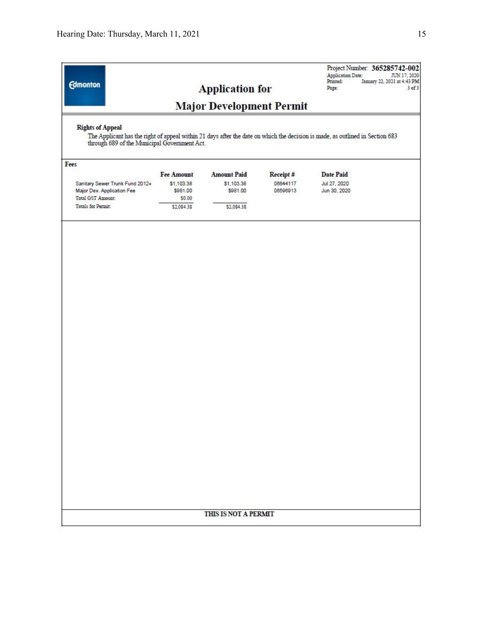| <b>Rights of Appeal</b><br>through 689 of the Municipal Government Act.<br>Fees<br>Sanitary Sewer Trunk Fund 2012+<br>Major Dev. Application Fee<br>Total GST Amount:<br><b>Totals for Permit:</b> | <b>Fee Amount</b><br>\$1,103.38<br>\$981.00<br>\$0.00<br>\$2,084.38 | <b>Major Development Permit</b><br><b>Amount Paid</b><br>\$1,103.38<br>\$981.00<br>\$2,084.38 | Receipt#<br>06644117<br>06596913 | The Applicant has the right of appeal within 21 days after the date on which the decision is made, as outlined in Section 683<br><b>Date Paid</b><br>Jul 27, 2020<br>Jun 30, 2020 |
|----------------------------------------------------------------------------------------------------------------------------------------------------------------------------------------------------|---------------------------------------------------------------------|-----------------------------------------------------------------------------------------------|----------------------------------|-----------------------------------------------------------------------------------------------------------------------------------------------------------------------------------|
|                                                                                                                                                                                                    |                                                                     |                                                                                               |                                  |                                                                                                                                                                                   |
|                                                                                                                                                                                                    |                                                                     |                                                                                               |                                  |                                                                                                                                                                                   |
|                                                                                                                                                                                                    |                                                                     |                                                                                               |                                  |                                                                                                                                                                                   |
|                                                                                                                                                                                                    |                                                                     |                                                                                               |                                  |                                                                                                                                                                                   |
|                                                                                                                                                                                                    |                                                                     |                                                                                               |                                  |                                                                                                                                                                                   |
|                                                                                                                                                                                                    |                                                                     |                                                                                               |                                  |                                                                                                                                                                                   |
|                                                                                                                                                                                                    |                                                                     |                                                                                               |                                  |                                                                                                                                                                                   |
|                                                                                                                                                                                                    |                                                                     | THIS IS NOT A PERMIT                                                                          |                                  |                                                                                                                                                                                   |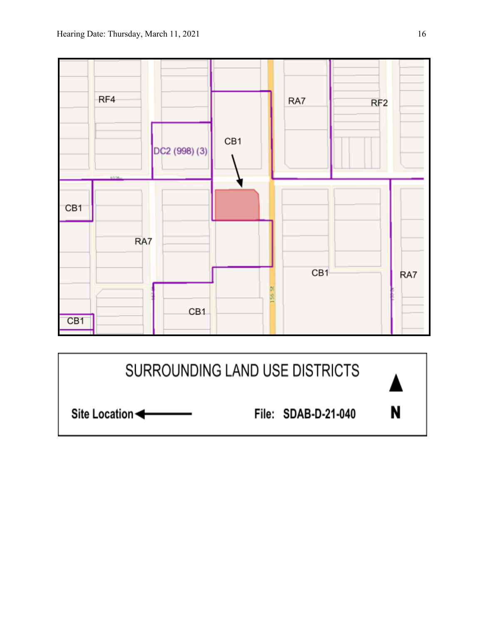Site Location



File: SDAB-D-21-040

N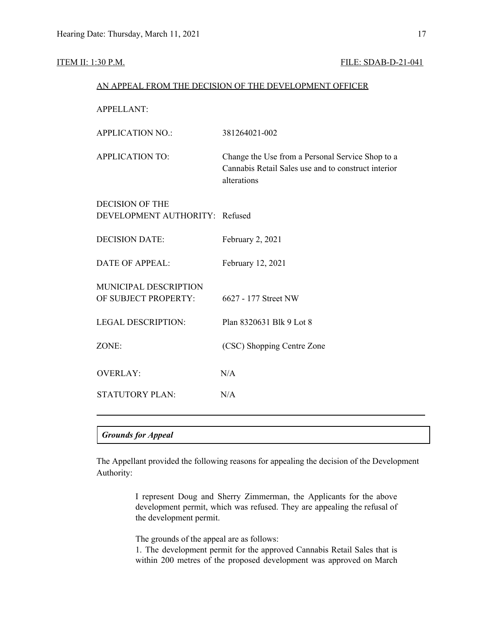# **ITEM II: 1:30 P.M. FILE: SDAB-D-21-041**

|                                                          | AN APPEAL FROM THE DECISION OF THE DEVELOPMENT OFFICER                                                                 |
|----------------------------------------------------------|------------------------------------------------------------------------------------------------------------------------|
| <b>APPELLANT:</b>                                        |                                                                                                                        |
| <b>APPLICATION NO.:</b>                                  | 381264021-002                                                                                                          |
| <b>APPLICATION TO:</b>                                   | Change the Use from a Personal Service Shop to a<br>Cannabis Retail Sales use and to construct interior<br>alterations |
| <b>DECISION OF THE</b><br>DEVELOPMENT AUTHORITY: Refused |                                                                                                                        |
| <b>DECISION DATE:</b>                                    | February 2, 2021                                                                                                       |
| <b>DATE OF APPEAL:</b>                                   | February 12, 2021                                                                                                      |
| MUNICIPAL DESCRIPTION<br>OF SUBJECT PROPERTY:            | 6627 - 177 Street NW                                                                                                   |
| <b>LEGAL DESCRIPTION:</b>                                | Plan 8320631 Blk 9 Lot 8                                                                                               |
| ZONE:                                                    | (CSC) Shopping Centre Zone                                                                                             |
| <b>OVERLAY:</b>                                          | N/A                                                                                                                    |
| <b>STATUTORY PLAN:</b>                                   | N/A                                                                                                                    |
|                                                          |                                                                                                                        |

# *Grounds for Appeal*

The Appellant provided the following reasons for appealing the decision of the Development Authority:

> I represent Doug and Sherry Zimmerman, the Applicants for the above development permit, which was refused. They are appealing the refusal of the development permit.

The grounds of the appeal are as follows:

1. The development permit for the approved Cannabis Retail Sales that is within 200 metres of the proposed development was approved on March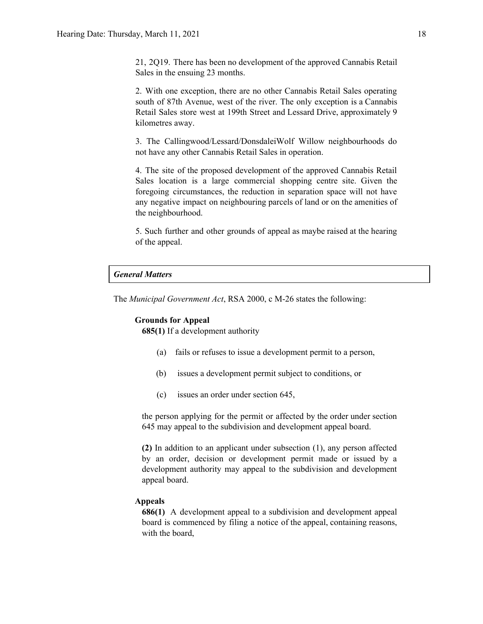21, 2Q19. There has been no development of the approved Cannabis Retail Sales in the ensuing 23 months.

2. With one exception, there are no other Cannabis Retail Sales operating south of 87th Avenue, west of the river. The only exception is a Cannabis Retail Sales store west at 199th Street and Lessard Drive, approximately 9 kilometres away.

3. The Callingwood/Lessard/DonsdaleiWolf Willow neighbourhoods do not have any other Cannabis Retail Sales in operation.

4. The site of the proposed development of the approved Cannabis Retail Sales location is a large commercial shopping centre site. Given the foregoing circumstances, the reduction in separation space will not have any negative impact on neighbouring parcels of land or on the amenities of the neighbourhood.

5. Such further and other grounds of appeal as maybe raised at the hearing of the appeal.

# *General Matters*

The *Municipal Government Act*, RSA 2000, c M-26 states the following:

# **Grounds for Appeal**

**685(1)** If a development authority

- (a) fails or refuses to issue a development permit to a person,
- (b) issues a development permit subject to conditions, or
- (c) issues an order under section 645,

the person applying for the permit or affected by the order under section 645 may appeal to the subdivision and development appeal board.

**(2)** In addition to an applicant under subsection (1), any person affected by an order, decision or development permit made or issued by a development authority may appeal to the subdivision and development appeal board.

# **Appeals**

**686(1)** A development appeal to a subdivision and development appeal board is commenced by filing a notice of the appeal, containing reasons, with the board,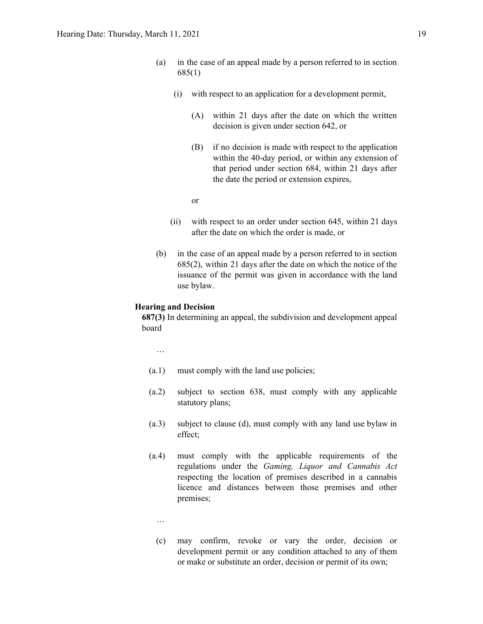- (a) in the case of an appeal made by a person referred to in section 685(1)
	- (i) with respect to an application for a development permit,
		- (A) within 21 days after the date on which the written decision is given under section 642, or
		- (B) if no decision is made with respect to the application within the 40-day period, or within any extension of that period under section 684, within 21 days after the date the period or extension expires,

or

- (ii) with respect to an order under section 645, within 21 days after the date on which the order is made, or
- (b) in the case of an appeal made by a person referred to in section 685(2), within 21 days after the date on which the notice of the issuance of the permit was given in accordance with the land use bylaw.

# **Hearing and Decision**

**687(3)** In determining an appeal, the subdivision and development appeal board

…

- (a.1) must comply with the land use policies;
- (a.2) subject to section 638, must comply with any applicable statutory plans;
- (a.3) subject to clause (d), must comply with any land use bylaw in effect;
- (a.4) must comply with the applicable requirements of the regulations under the *Gaming, Liquor and Cannabis Act* respecting the location of premises described in a cannabis licence and distances between those premises and other premises;
	- …
	- (c) may confirm, revoke or vary the order, decision or development permit or any condition attached to any of them or make or substitute an order, decision or permit of its own;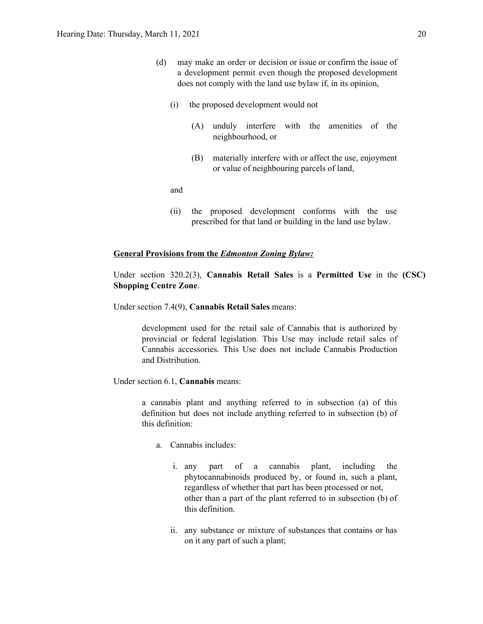- (d) may make an order or decision or issue or confirm the issue of a development permit even though the proposed development does not comply with the land use bylaw if, in its opinion,
	- (i) the proposed development would not
		- (A) unduly interfere with the amenities of the neighbourhood, or
		- (B) materially interfere with or affect the use, enjoyment or value of neighbouring parcels of land,

and

(ii) the proposed development conforms with the use prescribed for that land or building in the land use bylaw.

#### **General Provisions from the** *Edmonton Zoning Bylaw:*

Under section 320.2(3), **Cannabis Retail Sales** is a **Permitted Use** in the **(CSC) Shopping Centre Zone**.

Under section 7.4(9), **Cannabis Retail Sales** means:

development used for the retail sale of Cannabis that is authorized by provincial or federal legislation. This Use may include retail sales of Cannabis accessories. This Use does not include Cannabis Production and Distribution.

Under section 6.1, **Cannabis** means:

a cannabis plant and anything referred to in subsection (a) of this definition but does not include anything referred to in subsection (b) of this definition:

- a. Cannabis includes:
	- i. any part of a cannabis plant, including the phytocannabinoids produced by, or found in, such a plant, regardless of whether that part has been processed or not, other than a part of the plant referred to in subsection (b) of this definition.
	- ii. any substance or mixture of substances that contains or has on it any part of such a plant;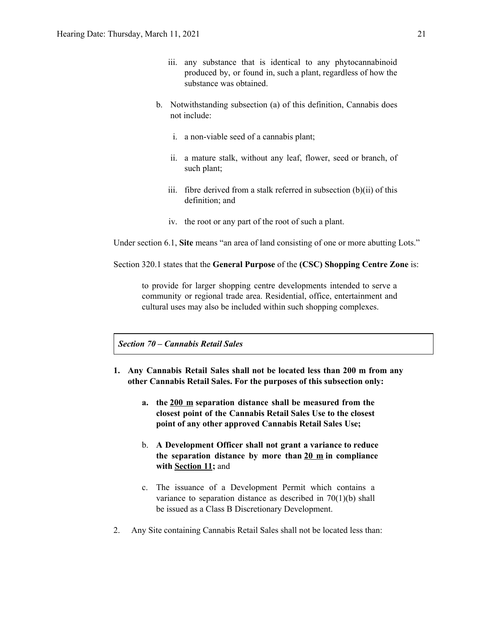- iii. any substance that is identical to any phytocannabinoid produced by, or found in, such a plant, regardless of how the substance was obtained.
- b. Notwithstanding subsection (a) of this definition, Cannabis does not include:
	- i. a non-viable seed of a cannabis plant;
	- ii. a mature stalk, without any leaf, flower, seed or branch, of such plant;
	- iii. fibre derived from a stalk referred in subsection (b)(ii) of this definition; and
	- iv. the root or any part of the root of such a plant.

Under section 6.1, **Site** means "an area of land consisting of one or more abutting Lots."

Section 320.1 states that the **General Purpose** of the **(CSC) Shopping Centre Zone** is:

to provide for larger shopping centre developments intended to serve a community or regional trade area. Residential, office, entertainment and cultural uses may also be included within such shopping complexes.

*Section 70 – Cannabis Retail Sales*

- **1. Any Cannabis Retail Sales shall not be located less than 200 m from any other Cannabis Retail Sales. For the purposes of this subsection only:**
	- **a. the 200 m separation distance shall be measured from the closest point of the Cannabis Retail Sales Use to the closest point of any other approved Cannabis Retail Sales Use;**
	- b. **A Development Officer shall not grant a variance to reduce the separation distance by more than 20 m in compliance with Section 11;** and
	- c. The issuance of a Development Permit which contains a variance to separation distance as described in 70(1)(b) shall be issued as a Class B Discretionary Development.
- 2. Any Site containing Cannabis Retail Sales shall not be located less than: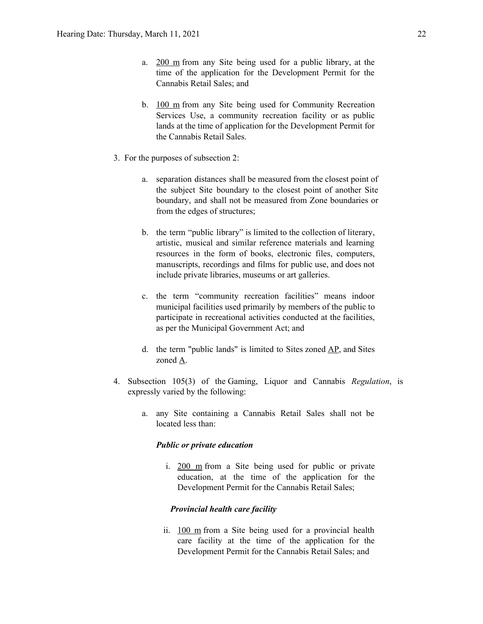- a. 200 m from any Site being used for a public library, at the time of the application for the Development Permit for the Cannabis Retail Sales; and
- b. 100 m from any Site being used for Community Recreation Services Use, a community recreation facility or as public lands at the time of application for the Development Permit for the Cannabis Retail Sales.
- 3. For the purposes of subsection 2:
	- a. separation distances shall be measured from the closest point of the subject Site boundary to the closest point of another Site boundary, and shall not be measured from Zone boundaries or from the edges of structures;
	- b. the term "public library" is limited to the collection of literary, artistic, musical and similar reference materials and learning resources in the form of books, electronic files, computers, manuscripts, recordings and films for public use, and does not include private libraries, museums or art galleries.
	- c. the term "community recreation facilities" means indoor municipal facilities used primarily by members of the public to participate in recreational activities conducted at the facilities, as per the Municipal Government Act; and
	- d. the term "public lands" is limited to Sites zoned AP, and Sites zoned A.
- 4. Subsection 105(3) of the Gaming, Liquor and Cannabis *Regulation*, is expressly varied by the following:
	- a. any Site containing a Cannabis Retail Sales shall not be located less than:

### *Public or private education*

i. 200 m from a Site being used for public or private education, at the time of the application for the Development Permit for the Cannabis Retail Sales;

# *Provincial health care facility*

ii. 100 m from a Site being used for a provincial health care facility at the time of the application for the Development Permit for the Cannabis Retail Sales; and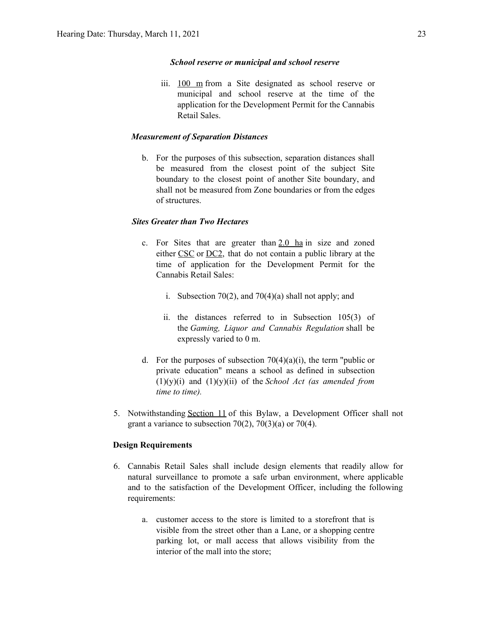# *School reserve or municipal and school reserve*

iii. 100 m from a Site designated as school reserve or municipal and school reserve at the time of the application for the Development Permit for the Cannabis Retail Sales.

# *Measurement of Separation Distances*

b. For the purposes of this subsection, separation distances shall be measured from the closest point of the subject Site boundary to the closest point of another Site boundary, and shall not be measured from Zone boundaries or from the edges of structures.

# *Sites Greater than Two Hectares*

- c. For Sites that are greater than  $2.0$  ha in size and zoned either CSC or DC2, that do not contain a public library at the time of application for the Development Permit for the Cannabis Retail Sales:
	- i. Subsection 70(2), and 70(4)(a) shall not apply; and
	- ii. the distances referred to in Subsection 105(3) of the *Gaming, Liquor and Cannabis Regulation* shall be expressly varied to 0 m.
- d. For the purposes of subsection  $70(4)(a)(i)$ , the term "public or private education" means a school as defined in subsection (1)(y)(i) and (1)(y)(ii) of the *School Act (as amended from time to time).*
- 5. Notwithstanding Section 11 of this Bylaw, a Development Officer shall not grant a variance to subsection  $70(2)$ ,  $70(3)(a)$  or  $70(4)$ .

### **Design Requirements**

- 6. Cannabis Retail Sales shall include design elements that readily allow for natural surveillance to promote a safe urban environment, where applicable and to the satisfaction of the Development Officer, including the following requirements:
	- a. customer access to the store is limited to a storefront that is visible from the street other than a Lane, or a shopping centre parking lot, or mall access that allows visibility from the interior of the mall into the store;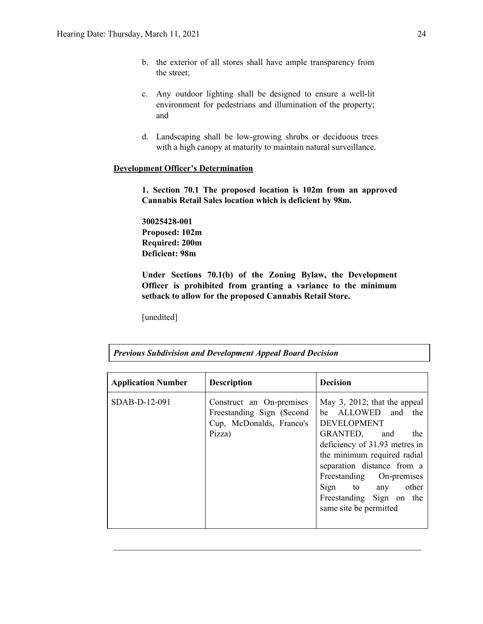- b. the exterior of all stores shall have ample transparency from the street;
- c. Any outdoor lighting shall be designed to ensure a well-lit environment for pedestrians and illumination of the property; and
- d. Landscaping shall be low-growing shrubs or deciduous trees with a high canopy at maturity to maintain natural surveillance.

# **Development Officer's Determination**

**1. Section 70.1 The proposed location is 102m from an approved Cannabis Retail Sales location which is deficient by 98m.**

**30025428-001 Proposed: 102m Required: 200m Deficient: 98m**

**Under Sections 70.1(b) of the Zoning Bylaw, the Development Officer is prohibited from granting a variance to the minimum setback to allow for the proposed Cannabis Retail Store.**

[unedited]

| <b>Application Number</b> | <b>Description</b>                                                                          | <b>Decision</b>                                                                                                                                                                                                                                                                                      |
|---------------------------|---------------------------------------------------------------------------------------------|------------------------------------------------------------------------------------------------------------------------------------------------------------------------------------------------------------------------------------------------------------------------------------------------------|
| $SDAB-D-12-091$           | Construct an On-premises<br>Freestanding Sign (Second<br>Cup, McDonalds, Franco's<br>Pizza) | May 3, 2012; that the appeal<br>be ALLOWED and the<br><b>DEVELOPMENT</b><br>GRANTED, and<br>the<br>deficiency of 31.93 metres in<br>the minimum required radial<br>separation distance from a<br>Freestanding On-premises<br>Sign to any other<br>Freestanding Sign on the<br>same site be permitted |

 $\mathcal{L}_\text{max}$  , and the contribution of the contribution of the contribution of the contribution of the contribution of the contribution of the contribution of the contribution of the contribution of the contribution of t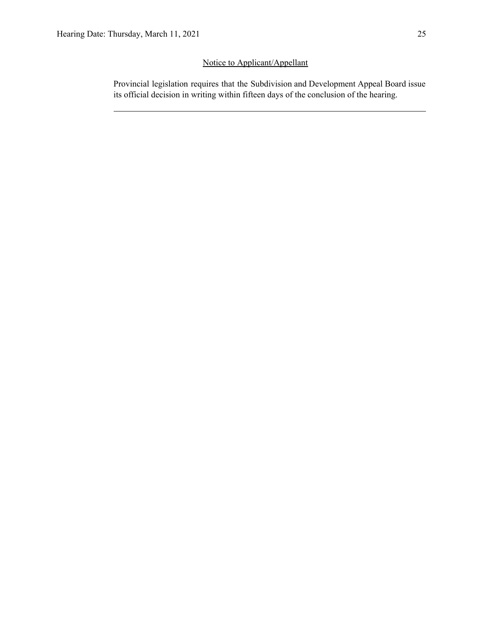# Notice to Applicant/Appellant

Provincial legislation requires that the Subdivision and Development Appeal Board issue its official decision in writing within fifteen days of the conclusion of the hearing.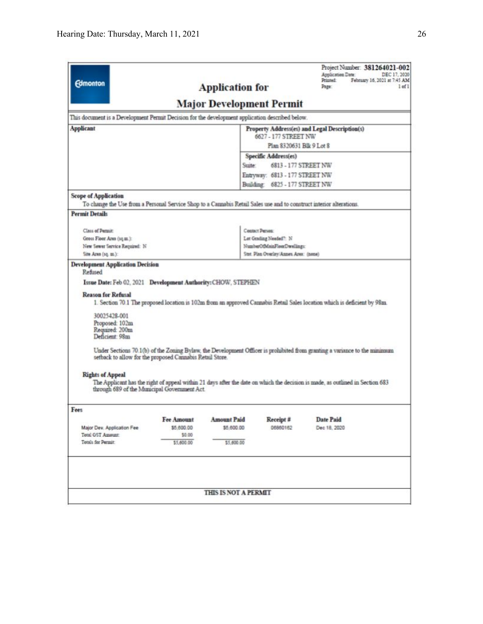| <b>Edmonton</b>                                                                                                                                     |                                                                                                          | <b>Application for</b>                                |                                | Project Number: 381264021-002<br>Application Date:<br>Printed:<br>Page:                                                                                                                                                                                                                                                                                                                | DEC 17, 2020<br>February 16, 2021 at 7:45 AM<br>$1$ of $1$ |
|-----------------------------------------------------------------------------------------------------------------------------------------------------|----------------------------------------------------------------------------------------------------------|-------------------------------------------------------|--------------------------------|----------------------------------------------------------------------------------------------------------------------------------------------------------------------------------------------------------------------------------------------------------------------------------------------------------------------------------------------------------------------------------------|------------------------------------------------------------|
|                                                                                                                                                     |                                                                                                          | <b>Major Development Permit</b>                       |                                |                                                                                                                                                                                                                                                                                                                                                                                        |                                                            |
| This document is a Development Permit Decision for the development application described below.                                                     |                                                                                                          |                                                       |                                |                                                                                                                                                                                                                                                                                                                                                                                        |                                                            |
| <b>Applicant</b>                                                                                                                                    |                                                                                                          |                                                       |                                | Property Address(es) and Legal Description(s)                                                                                                                                                                                                                                                                                                                                          |                                                            |
|                                                                                                                                                     |                                                                                                          | 6627 - 177 STREET NW                                  |                                |                                                                                                                                                                                                                                                                                                                                                                                        |                                                            |
|                                                                                                                                                     |                                                                                                          |                                                       | Plan 8320631 Blk 9 Lot 8       |                                                                                                                                                                                                                                                                                                                                                                                        |                                                            |
|                                                                                                                                                     |                                                                                                          |                                                       | Specific Address(es)           |                                                                                                                                                                                                                                                                                                                                                                                        |                                                            |
|                                                                                                                                                     |                                                                                                          | Suite:                                                | 6813 - 177 STREET NW           |                                                                                                                                                                                                                                                                                                                                                                                        |                                                            |
|                                                                                                                                                     |                                                                                                          |                                                       | Entryway: 6813 - 177 STREET NW |                                                                                                                                                                                                                                                                                                                                                                                        |                                                            |
|                                                                                                                                                     |                                                                                                          |                                                       | Building: 6825 - 177 STREET NW |                                                                                                                                                                                                                                                                                                                                                                                        |                                                            |
| <b>Scope of Application</b><br>To change the Use from a Personal Service Shop to a Cannabis Retail Sales use and to construct interior alterations. |                                                                                                          |                                                       |                                |                                                                                                                                                                                                                                                                                                                                                                                        |                                                            |
| <b>Permit Details</b>                                                                                                                               |                                                                                                          |                                                       |                                |                                                                                                                                                                                                                                                                                                                                                                                        |                                                            |
|                                                                                                                                                     |                                                                                                          |                                                       |                                |                                                                                                                                                                                                                                                                                                                                                                                        |                                                            |
| Class of Permit:                                                                                                                                    |                                                                                                          |                                                       | Contact Person:                |                                                                                                                                                                                                                                                                                                                                                                                        |                                                            |
| Gross Floor Area (sq.m.):<br>New Sewer Service Required: N                                                                                          |                                                                                                          | Lot Grading Needed": N<br>NumberOfMainFloorDwellings: |                                |                                                                                                                                                                                                                                                                                                                                                                                        |                                                            |
| Site Area (sq. m.):                                                                                                                                 |                                                                                                          | Stat. Plan Overlay/Annes Area: (none)                 |                                |                                                                                                                                                                                                                                                                                                                                                                                        |                                                            |
| 30025428-001<br>Proposed: 102m<br>Required: 200m<br>Deficient: 98m<br><b>Rights of Appeal</b>                                                       | setback to allow for the proposed Cannabis Retail Store.<br>through 689 of the Municipal Government Act. |                                                       |                                | 1. Section 70.1 The proposed location is 102m from an approved Cannabis Retail Sales location which is deficient by 98m.<br>Under Sections 70.1(b) of the Zoning Bylaw, the Development Officer is prohibited from granting a variance to the minimum<br>The Applicant has the right of appeal within 21 days after the date on which the decision is made, as outlined in Section 683 |                                                            |
| Fees                                                                                                                                                |                                                                                                          |                                                       |                                |                                                                                                                                                                                                                                                                                                                                                                                        |                                                            |
|                                                                                                                                                     | Fee Amount                                                                                               | <b>Amount Paid</b>                                    | Receipt #                      | <b>Date Paid</b>                                                                                                                                                                                                                                                                                                                                                                       |                                                            |
| Major Dev. Application Fee                                                                                                                          | \$5,600.00                                                                                               | \$5,600.00                                            | 06860162                       | Dec 18, 2020                                                                                                                                                                                                                                                                                                                                                                           |                                                            |
| Total GST Amount:<br>Totals for Permit.                                                                                                             | \$0.00<br>\$5,600.00                                                                                     | \$5,600.00                                            |                                |                                                                                                                                                                                                                                                                                                                                                                                        |                                                            |
|                                                                                                                                                     |                                                                                                          |                                                       |                                |                                                                                                                                                                                                                                                                                                                                                                                        |                                                            |
|                                                                                                                                                     |                                                                                                          |                                                       |                                |                                                                                                                                                                                                                                                                                                                                                                                        |                                                            |
|                                                                                                                                                     |                                                                                                          | THIS IS NOT A PERMIT                                  |                                |                                                                                                                                                                                                                                                                                                                                                                                        |                                                            |